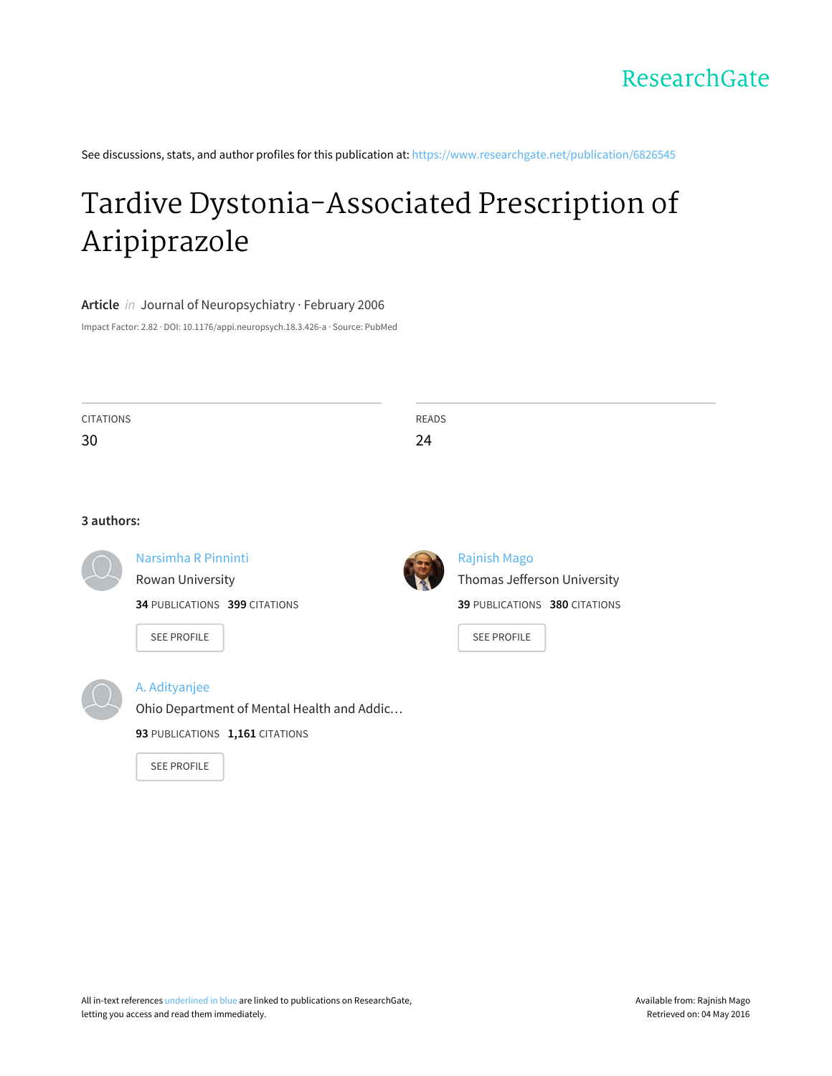See discussions, stats, and author profiles for this publication at: [https://www.researchgate.net/publication/6826545](https://www.researchgate.net/publication/6826545_Tardive_Dystonia-Associated_Prescription_of_Aripiprazole?enrichId=rgreq-327ef695-8503-408f-8407-7e8357e38c5b&enrichSource=Y292ZXJQYWdlOzY4MjY1NDU7QVM6MTAzNTgwMjU4Mjc1MzM0QDE0MDE3MDY4NjY0OTY%3D&el=1_x_2)

# Tardive [Dystonia-Associated](https://www.researchgate.net/publication/6826545_Tardive_Dystonia-Associated_Prescription_of_Aripiprazole?enrichId=rgreq-327ef695-8503-408f-8407-7e8357e38c5b&enrichSource=Y292ZXJQYWdlOzY4MjY1NDU7QVM6MTAzNTgwMjU4Mjc1MzM0QDE0MDE3MDY4NjY0OTY%3D&el=1_x_3) Prescription of Aripiprazole

**Article** in Journal of Neuropsychiatry · February 2006

Impact Factor: 2.82 · DOI: 10.1176/appi.neuropsych.18.3.426-a · Source: PubMed

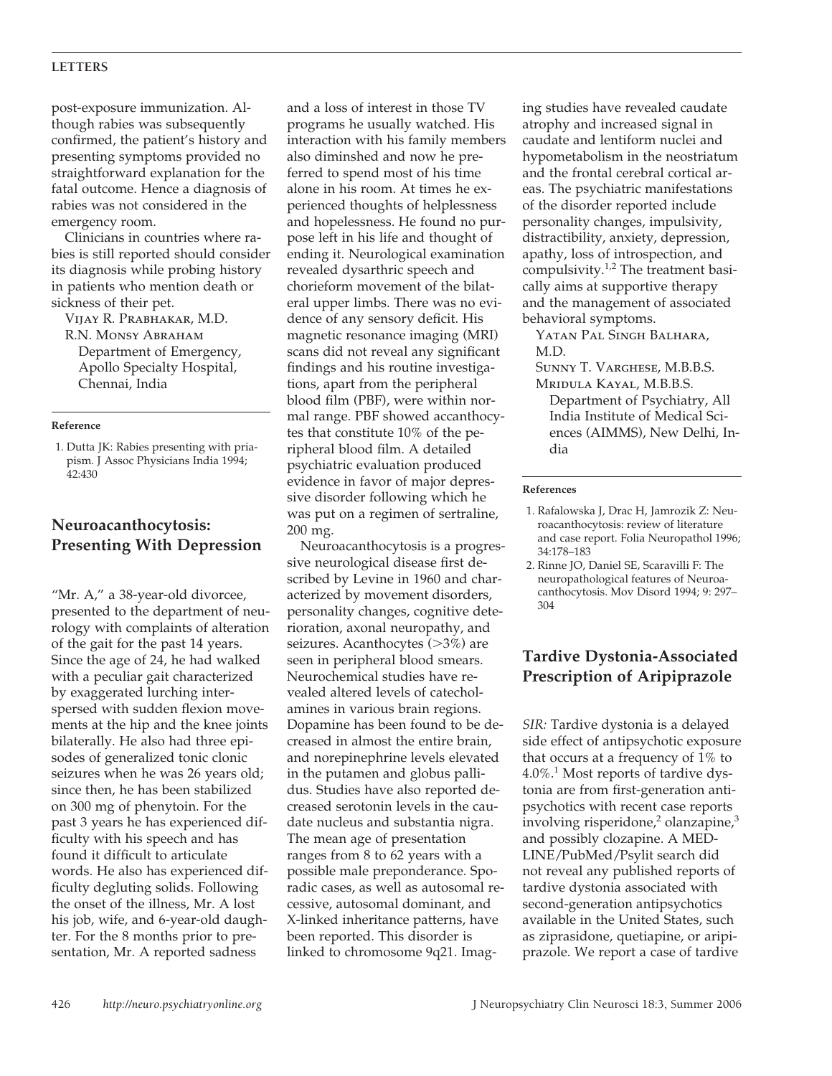#### **LETTERS**

post-exposure immunization. Although rabies was subsequently confirmed, the patient's history and presenting symptoms provided no straightforward explanation for the fatal outcome. Hence a diagnosis of rabies was not considered in the emergency room.

Clinicians in countries where rabies is still reported should consider its diagnosis while probing history in patients who mention death or sickness of their pet.

Vijay R. Prabhakar, M.D. R.N. MONSY ABRAHAM Department of Emergency, Apollo Specialty Hospital, Chennai, India

#### **Reference**

1. Dutta JK: Rabies presenting with priapism. J Assoc Physicians India 1994; 42:430

## **Neuroacanthocytosis: Presenting With Depression**

"Mr. A," a 38-year-old divorcee, presented to the department of neurology with complaints of alteration of the gait for the past 14 years. Since the age of 24, he had walked with a peculiar gait characterized by exaggerated lurching interspersed with sudden flexion movements at the hip and the knee joints bilaterally. He also had three episodes of generalized tonic clonic seizures when he was 26 years old; since then, he has been stabilized on 300 mg of phenytoin. For the past 3 years he has experienced difficulty with his speech and has found it difficult to articulate words. He also has experienced difficulty degluting solids. Following the onset of the illness, Mr. A lost his job, wife, and 6-year-old daughter. For the 8 months prior to presentation, Mr. A reported sadness

and a loss of interest in those TV programs he usually watched. His interaction with his family members also diminshed and now he preferred to spend most of his time alone in his room. At times he experienced thoughts of helplessness and hopelessness. He found no purpose left in his life and thought of ending it. Neurological examination revealed dysarthric speech and chorieform movement of the bilateral upper limbs. There was no evidence of any sensory deficit. His magnetic resonance imaging (MRI) scans did not reveal any significant findings and his routine investigations, apart from the peripheral blood film (PBF), were within normal range. PBF showed accanthocytes that constitute 10% of the peripheral blood film. A detailed psychiatric evaluation produced evidence in favor of major depressive disorder following which he was put on a regimen of sertraline, 200 mg.

Neuroacanthocytosis is a progressive neurological disease first described by Levine in 1960 and characterized by movement disorders, personality changes, cognitive deterioration, axonal neuropathy, and seizures. Acanthocytes (>3%) are seen in peripheral blood smears. Neurochemical studies have revealed altered levels of catecholamines in various brain regions. Dopamine has been found to be decreased in almost the entire brain, and norepinephrine levels elevated in the putamen and globus pallidus. Studies have also reported decreased serotonin levels in the caudate nucleus and substantia nigra. The mean age of presentation ranges from 8 to 62 years with a possible male preponderance. Sporadic cases, as well as autosomal recessive, autosomal dominant, and X-linked inheritance patterns, have been reported. This disorder is linked to chromosome 9q21. Imag-

ing studies have revealed caudate atrophy and increased signal in caudate and lentiform nuclei and hypometabolism in the neostriatum and the frontal cerebral cortical areas. The psychiatric manifestations of the disorder reported include personality changes, impulsivity, distractibility, anxiety, depression, apathy, loss of introspection, and compulsivity.<sup>1,2</sup> The treatment basically aims at supportive therapy and the management of associated behavioral symptoms.

Yatan Pal Singh Balhara, M.D.

Sunny T. Varghese, M.B.B.S. Mridula Kayal, M.B.B.S.

Department of Psychiatry, All India Institute of Medical Sciences (AIMMS), New Delhi, India

#### **References**

- 1. Rafalowska J, Drac H, Jamrozik Z: Neuroacanthocytosis: review of literature and case report. Folia Neuropathol 1996; 34:178–183
- 2. Rinne JO, Daniel SE, Scaravilli F: The neuropathological features of Neuroacanthocytosis. Mov Disord 1994; 9: 297– 304

## **Tardive Dystonia-Associated Prescription of Aripiprazole**

*SIR:* Tardive dystonia is a delayed side effect of antipsychotic exposure that occurs at a frequency of 1% to  $4.0\%$ <sup>1</sup> Most reports of tardive dystonia are from first-generation antipsychotics with recent case reports involving risperidone,<sup>2</sup> olanzapine, $3$ and possibly clozapine. A MED-LINE/PubMed/Psylit search did not reveal any published reports of tardive dystonia associated with second-generation antipsychotics available in the United States, such as ziprasidone, quetiapine, or aripiprazole. We report a case of tardive